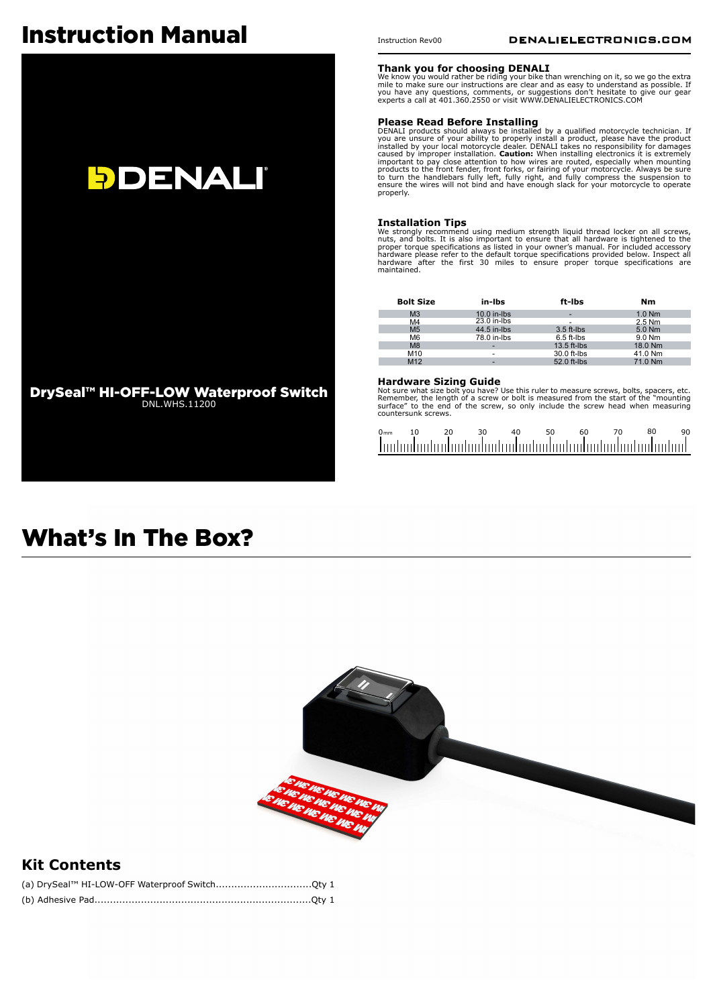# Instruction Manual



### Instruction Rev00

#### **Thank you for choosing DENALI**

We know you would rather be riding your bike than wrenching on it, so we go the extra mile to make sure our instructions are clear and as easy to understand as possible. If you have any questions, comments, or suggestions don't hesitate to give our gear experts a call at 401.360.2550 or visit WWW.DENALIELECTRONICS.COM

**Please Read Before Installing**<br>DENALI products should always be installed by a qualified motorcycle technician. If<br>you are unsure of your ability to properly install a product, please have the product<br>installed by your lo important to pay close attention to how wires are routed, especially when mounting<br>products to the front fender, front forks, or fairing of your motorcycle. Always be sure<br>to turn the handlebars fully left, fully right, an properly.

**Installation Tips** We strongly recommend using medium strength liquid thread locker on all screws, nuts, and bolts. It is also important to ensure that all hardware is tightened to the proper torque specifications as listed in your owner's manual. For included accessory<br>hardware please refer to the default torque specifications provided below. Inspect all<br>hardware after the first 30 miles to ensure prope

| <b>Bolt Size</b> | in-Ibs        | ft-lbs                   | Nm       |
|------------------|---------------|--------------------------|----------|
| M <sub>3</sub>   | $10.0$ in-lbs | $\overline{\phantom{0}}$ | $1.0$ Nm |
| M4               | 23.0 in-lbs   | $\overline{\phantom{0}}$ | $2.5$ Nm |
| M <sub>5</sub>   | 44.5 in-lbs   | $3.5$ ft-lbs             | $5.0$ Nm |
| M <sub>6</sub>   | 78.0 in-lbs   | $6.5$ ft-lbs             | 9.0 Nm   |
| M8               | -             | $13.5$ ft-lbs            | 18.0 Nm  |
| M10              | -             | 30.0 ft-lbs              | 41.0 Nm  |
| M12              | -             | 52.0 ft-lbs              | 71.0 Nm  |

#### **Hardware Sizing Guide**

Not sure what size bolt you have? Use this ruler to measure screws, bolts, spacers, etc.<br>Remember, the length of a screw or bolt is measured from the start of the "mounting<br>surface" to the end of the screw, so only include surface" to the end<br>countersunk screws.

| 0 <sub>mm</sub> | 1 ∩ | 20 | 4∩ | 50. | 60. | 80                                                           | 90. |
|-----------------|-----|----|----|-----|-----|--------------------------------------------------------------|-----|
|                 |     |    |    |     |     | . Ination boding to develop to develop to develop to develop |     |

## What's In The Box?



### **Kit Contents**